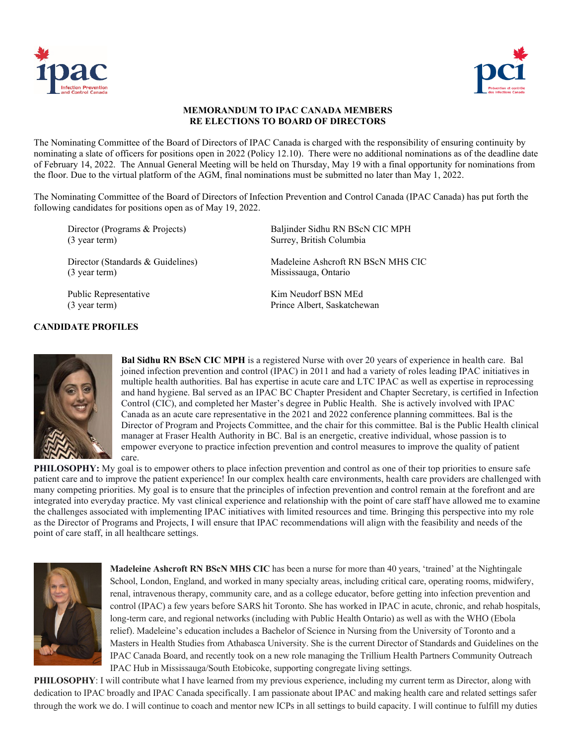



## **MEMORANDUM TO IPAC CANADA MEMBERS RE ELECTIONS TO BOARD OF DIRECTORS**

The Nominating Committee of the Board of Directors of IPAC Canada is charged with the responsibility of ensuring continuity by nominating a slate of officers for positions open in 2022 (Policy 12.10). There were no additional nominations as of the deadline date of February 14, 2022. The Annual General Meeting will be held on Thursday, May 19 with a final opportunity for nominations from the floor. Due to the virtual platform of the AGM, final nominations must be submitted no later than May 1, 2022.

The Nominating Committee of the Board of Directors of Infection Prevention and Control Canada (IPAC Canada) has put forth the following candidates for positions open as of May 19, 2022.

Director (Programs & Projects) Baljinder Sidhu RN BScN CIC MPH (3 year term) Surrey, British Columbia

Director (Standards & Guidelines) Madeleine Ashcroft RN BScN MHS CIC (3 year term) Mississauga, Ontario

## **CANDIDATE PROFILES**

Public Representative Kim Neudorf BSN MEd (3 year term) Prince Albert, Saskatchewan



**Bal Sidhu RN BScN CIC MPH** is a registered Nurse with over 20 years of experience in health care. Bal joined infection prevention and control (IPAC) in 2011 and had a variety of roles leading IPAC initiatives in multiple health authorities. Bal has expertise in acute care and LTC IPAC as well as expertise in reprocessing and hand hygiene. Bal served as an IPAC BC Chapter President and Chapter Secretary, is certified in Infection Control (CIC), and completed her Master's degree in Public Health. She is actively involved with IPAC Canada as an acute care representative in the 2021 and 2022 conference planning committees. Bal is the Director of Program and Projects Committee, and the chair for this committee. Bal is the Public Health clinical manager at Fraser Health Authority in BC. Bal is an energetic, creative individual, whose passion is to empower everyone to practice infection prevention and control measures to improve the quality of patient care.

**PHILOSOPHY:** My goal is to empower others to place infection prevention and control as one of their top priorities to ensure safe patient care and to improve the patient experience! In our complex health care environments, health care providers are challenged with many competing priorities. My goal is to ensure that the principles of infection prevention and control remain at the forefront and are integrated into everyday practice. My vast clinical experience and relationship with the point of care staff have allowed me to examine the challenges associated with implementing IPAC initiatives with limited resources and time. Bringing this perspective into my role as the Director of Programs and Projects, I will ensure that IPAC recommendations will align with the feasibility and needs of the point of care staff, in all healthcare settings.



**Madeleine Ashcroft RN BScN MHS CIC** has been a nurse for more than 40 years, 'trained' at the Nightingale School, London, England, and worked in many specialty areas, including critical care, operating rooms, midwifery, renal, intravenous therapy, community care, and as a college educator, before getting into infection prevention and control (IPAC) a few years before SARS hit Toronto. She has worked in IPAC in acute, chronic, and rehab hospitals, long-term care, and regional networks (including with Public Health Ontario) as well as with the WHO (Ebola relief). Madeleine's education includes a Bachelor of Science in Nursing from the University of Toronto and a Masters in Health Studies from Athabasca University. She is the current Director of Standards and Guidelines on the IPAC Canada Board, and recently took on a new role managing the Trillium Health Partners Community Outreach IPAC Hub in Mississauga/South Etobicoke, supporting congregate living settings.

**PHILOSOPHY**: I will contribute what I have learned from my previous experience, including my current term as Director, along with dedication to IPAC broadly and IPAC Canada specifically. I am passionate about IPAC and making health care and related settings safer through the work we do. I will continue to coach and mentor new ICPs in all settings to build capacity. I will continue to fulfill my duties